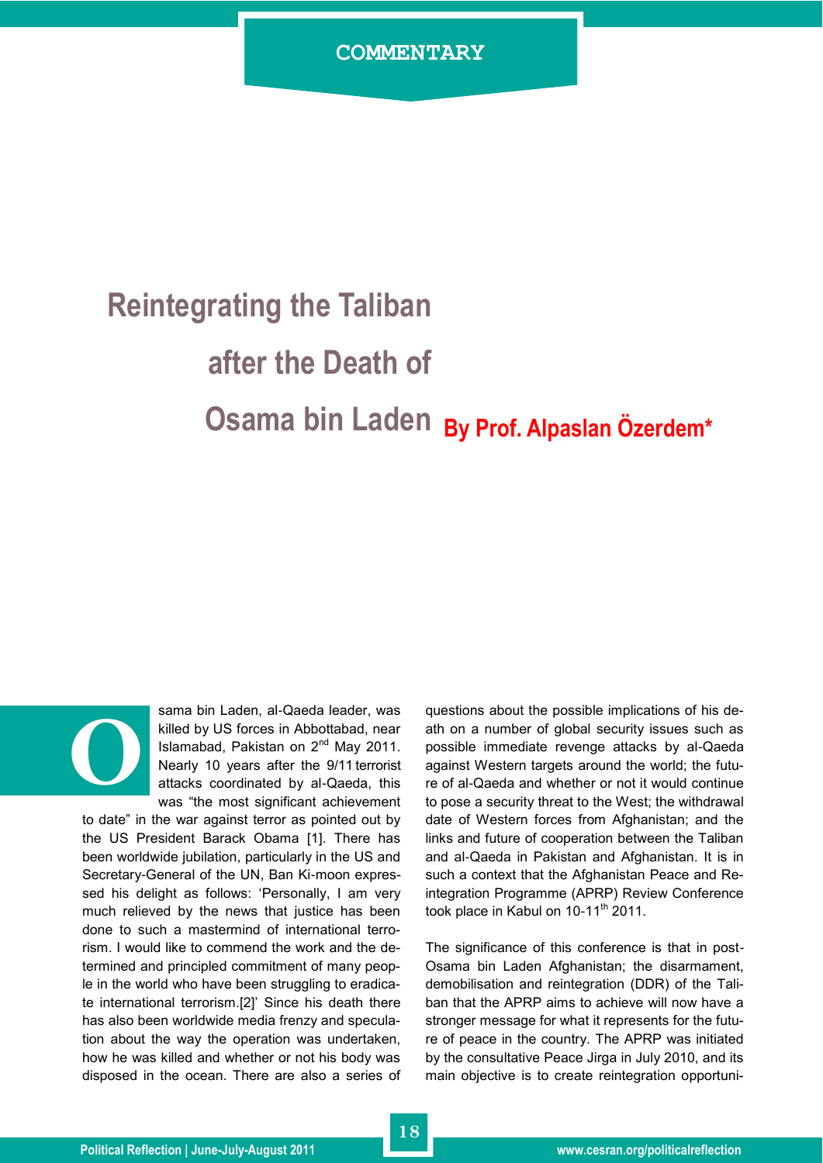## **Reintegrating the Taliban**

## **after the Death of**

## **Osama bin Laden By Prof. Alpaslan Özerdem\***



sama bin Laden, al-Qaeda leader, was killed by US forces in Abbottabad, near Islamabad, Pakistan on  $2^{nd}$  May 2011. Nearly 10 years after the 9/11 terrorist attacks coordinated by al-Qaeda, this was "the most significant achievement

to date" in the war against terror as pointed out by the US President Barack Obama [1]. There has been worldwide jubilation, particularly in the US and Secretary-General of the UN, Ban Ki-moon expressed his delight as follows: "Personally, I am very much relieved by the news that justice has been done to such a mastermind of international terrorism. I would like to commend the work and the determined and principled commitment of many people in the world who have been struggling to eradicate international terrorism.[2]" Since his death there has also been worldwide media frenzy and speculation about the way the operation was undertaken, how he was killed and whether or not his body was disposed in the ocean. There are also a series of questions about the possible implications of his death on a number of global security issues such as possible immediate revenge attacks by al-Qaeda against Western targets around the world; the future of al-Qaeda and whether or not it would continue to pose a security threat to the West; the withdrawal date of Western forces from Afghanistan; and the links and future of cooperation between the Taliban and al-Qaeda in Pakistan and Afghanistan. It is in such a context that the Afghanistan Peace and Reintegration Programme (APRP) Review Conference took place in Kabul on 10-11<sup>th</sup> 2011.

The significance of this conference is that in post-Osama bin Laden Afghanistan; the disarmament, demobilisation and reintegration (DDR) of the Taliban that the APRP aims to achieve will now have a stronger message for what it represents for the future of peace in the country. The APRP was initiated by the consultative Peace Jirga in July 2010, and its main objective is to create reintegration opportuni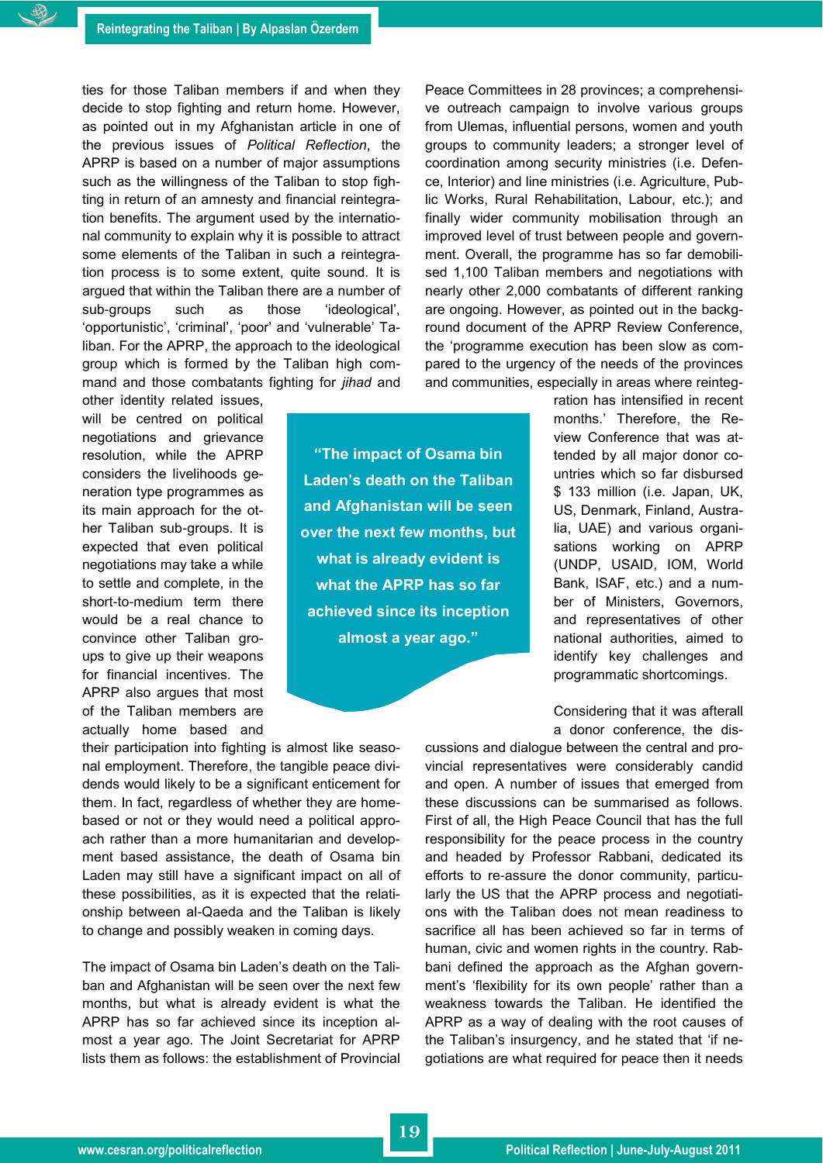ties for those Taliban members if and when they decide to stop fighting and return home. However, as pointed out in my Afghanistan article in one of the previous issues of *Political Reflection*, the APRP is based on a number of major assumptions such as the willingness of the Taliban to stop fighting in return of an amnesty and financial reintegration benefits. The argument used by the international community to explain why it is possible to attract some elements of the Taliban in such a reintegration process is to some extent, quite sound. It is argued that within the Taliban there are a number of sub-groups such as those "ideological", "opportunistic", "criminal", "poor" and "vulnerable" Taliban. For the APRP, the approach to the ideological group which is formed by the Taliban high command and those combatants fighting for *jihad* and other identity related issues,

will be centred on political negotiations and grievance resolution, while the APRP considers the livelihoods generation type programmes as its main approach for the other Taliban sub-groups. It is expected that even political negotiations may take a while to settle and complete, in the short-to-medium term there would be a real chance to convince other Taliban groups to give up their weapons for financial incentives. The APRP also argues that most of the Taliban members are actually home based and

**"The impact of Osama bin Laden"s death on the Taliban and Afghanistan will be seen over the next few months, but what is already evident is what the APRP has so far achieved since its inception almost a year ago."**

their participation into fighting is almost like seasonal employment. Therefore, the tangible peace dividends would likely to be a significant enticement for them. In fact, regardless of whether they are homebased or not or they would need a political approach rather than a more humanitarian and development based assistance, the death of Osama bin Laden may still have a significant impact on all of these possibilities, as it is expected that the relationship between al-Qaeda and the Taliban is likely to change and possibly weaken in coming days.

The impact of Osama bin Laden's death on the Taliban and Afghanistan will be seen over the next few months, but what is already evident is what the APRP has so far achieved since its inception almost a year ago. The Joint Secretariat for APRP lists them as follows: the establishment of Provincial Peace Committees in 28 provinces; a comprehensive outreach campaign to involve various groups from Ulemas, influential persons, women and youth groups to community leaders; a stronger level of coordination among security ministries (i.e. Defence, Interior) and line ministries (i.e. Agriculture, Public Works, Rural Rehabilitation, Labour, etc.); and finally wider community mobilisation through an improved level of trust between people and government. Overall, the programme has so far demobilised 1,100 Taliban members and negotiations with nearly other 2,000 combatants of different ranking are ongoing. However, as pointed out in the background document of the APRP Review Conference, the "programme execution has been slow as compared to the urgency of the needs of the provinces and communities, especially in areas where reinteg-

> ration has intensified in recent months." Therefore, the Review Conference that was attended by all major donor countries which so far disbursed \$ 133 million (i.e. Japan, UK, US, Denmark, Finland, Australia, UAE) and various organisations working on APRP (UNDP, USAID, IOM, World Bank, ISAF, etc.) and a number of Ministers, Governors, and representatives of other national authorities, aimed to identify key challenges and programmatic shortcomings.

> Considering that it was afterall a donor conference, the dis-

cussions and dialogue between the central and provincial representatives were considerably candid and open. A number of issues that emerged from these discussions can be summarised as follows. First of all, the High Peace Council that has the full responsibility for the peace process in the country and headed by Professor Rabbani, dedicated its efforts to re-assure the donor community, particularly the US that the APRP process and negotiations with the Taliban does not mean readiness to sacrifice all has been achieved so far in terms of human, civic and women rights in the country. Rabbani defined the approach as the Afghan government's 'flexibility for its own people' rather than a weakness towards the Taliban. He identified the APRP as a way of dealing with the root causes of the Taliban's insurgency, and he stated that 'if negotiations are what required for peace then it needs